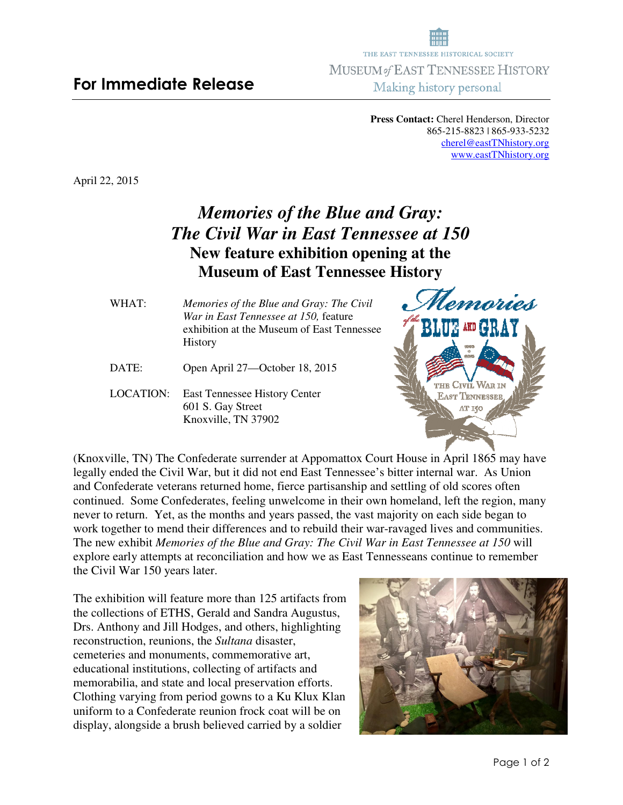**Press Contact:** Cherel Henderson, Director 865-215-8823 | 865-933-5232 cherel@eastTNhistory.org www.eastTNhistory.org

April 22, 2015

## *Memories of the Blue and Gray: The Civil War in East Tennessee at 150*  **New feature exhibition opening at the Museum of East Tennessee History**

- WHAT:*Memories of the Blue and Gray: The Civil War in East Tennessee at 150,* feature exhibition at the Museum of East Tennessee **History**
- DATE: Open April 27—October 18, 2015
- LOCATION: East Tennessee History Center 601 S. Gay Street Knoxville, TN 37902



(Knoxville, TN) The Confederate surrender at Appomattox Court House in April 1865 may have legally ended the Civil War, but it did not end East Tennessee's bitter internal war. As Union and Confederate veterans returned home, fierce partisanship and settling of old scores often continued. Some Confederates, feeling unwelcome in their own homeland, left the region, many never to return. Yet, as the months and years passed, the vast majority on each side began to work together to mend their differences and to rebuild their war-ravaged lives and communities. The new exhibit *Memories of the Blue and Gray: The Civil War in East Tennessee at 150* will explore early attempts at reconciliation and how we as East Tennesseans continue to remember the Civil War 150 years later.

The exhibition will feature more than 125 artifacts from the collections of ETHS, Gerald and Sandra Augustus, Drs. Anthony and Jill Hodges, and others, highlighting reconstruction, reunions, the *Sultana* disaster, cemeteries and monuments, commemorative art, educational institutions, collecting of artifacts and memorabilia, and state and local preservation efforts. Clothing varying from period gowns to a Ku Klux Klan uniform to a Confederate reunion frock coat will be on display, alongside a brush believed carried by a soldier